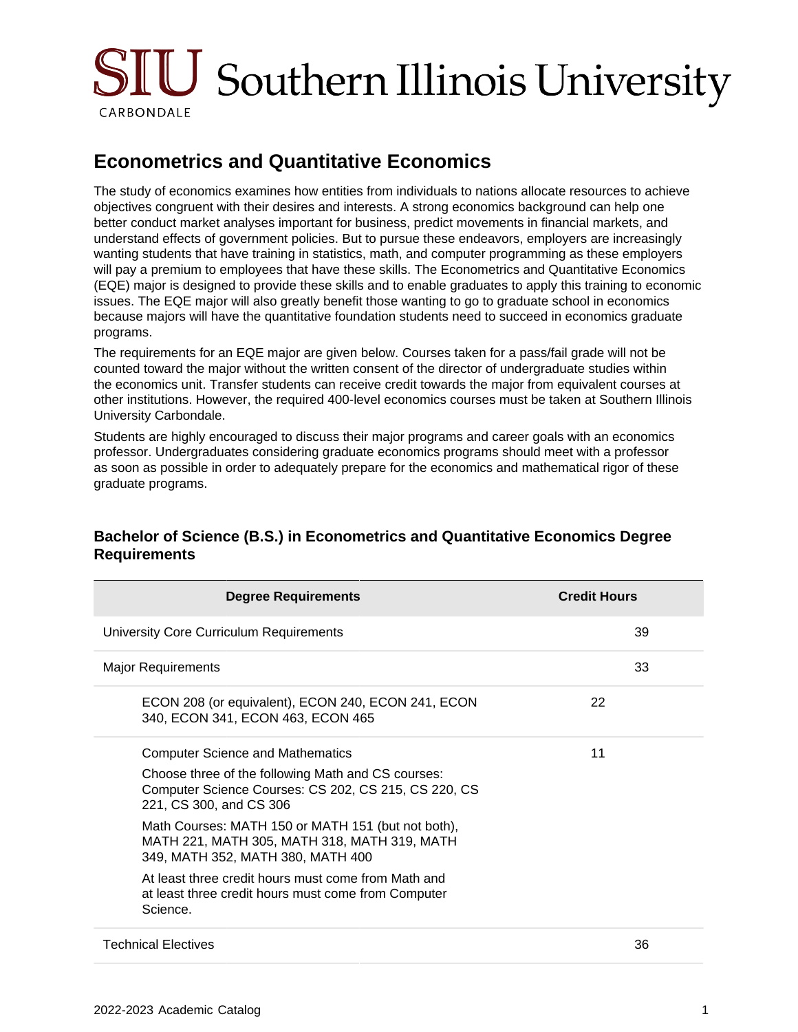# $\rm SHU$  Southern Illinois University CARBONDALE

## **Econometrics and Quantitative Economics**

The study of economics examines how entities from individuals to nations allocate resources to achieve objectives congruent with their desires and interests. A strong economics background can help one better conduct market analyses important for business, predict movements in financial markets, and understand effects of government policies. But to pursue these endeavors, employers are increasingly wanting students that have training in statistics, math, and computer programming as these employers will pay a premium to employees that have these skills. The Econometrics and Quantitative Economics (EQE) major is designed to provide these skills and to enable graduates to apply this training to economic issues. The EQE major will also greatly benefit those wanting to go to graduate school in economics because majors will have the quantitative foundation students need to succeed in economics graduate programs.

The requirements for an EQE major are given below. Courses taken for a pass/fail grade will not be counted toward the major without the written consent of the director of undergraduate studies within the economics unit. Transfer students can receive credit towards the major from equivalent courses at other institutions. However, the required 400-level economics courses must be taken at Southern Illinois University Carbondale.

Students are highly encouraged to discuss their major programs and career goals with an economics professor. Undergraduates considering graduate economics programs should meet with a professor as soon as possible in order to adequately prepare for the economics and mathematical rigor of these graduate programs.

## **Degree Requirements Credit Hours** University Core Curriculum Requirements 39 Major Requirements 33 ECON 208 (or equivalent), ECON 240, ECON 241, ECON 340, ECON 341, ECON 463, ECON 465 22 Computer Science and Mathematics Choose three of the following Math and CS courses: Computer Science Courses: CS 202, CS 215, CS 220, CS 221, CS 300, and CS 306 Math Courses: MATH 150 or MATH 151 (but not both), MATH 221, MATH 305, MATH 318, MATH 319, MATH 349, MATH 352, MATH 380, MATH 400 At least three credit hours must come from Math and at least three credit hours must come from Computer Science. 11 Technical Electives 36

### **Bachelor of Science (B.S.) in Econometrics and Quantitative Economics Degree Requirements**